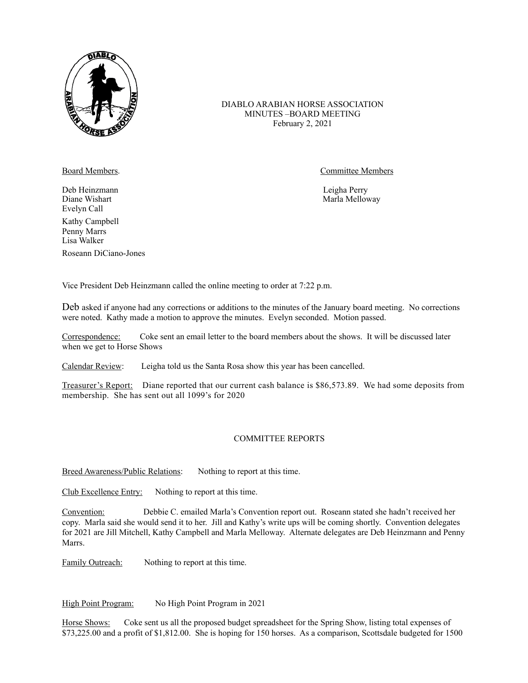

## DIABLO ARABIAN HORSE ASSOCIATION MINUTES –BOARD MEETING February 2, 2021

Deb Heinzmann Leigha Perry Evelyn Call Kathy Campbell Penny Marrs Lisa Walker Roseann DiCiano-Jones

Board Members. **Committee Members** 

Marla Melloway

Vice President Deb Heinzmann called the online meeting to order at 7:22 p.m.

Deb asked if anyone had any corrections or additions to the minutes of the January board meeting. No corrections were noted. Kathy made a motion to approve the minutes. Evelyn seconded. Motion passed.

Correspondence: Coke sent an email letter to the board members about the shows. It will be discussed later when we get to Horse Shows

Calendar Review: Leigha told us the Santa Rosa show this year has been cancelled.

Treasurer's Report: Diane reported that our current cash balance is \$86,573.89. We had some deposits from membership. She has sent out all 1099's for 2020

## COMMITTEE REPORTS

Breed Awareness/Public Relations: Nothing to report at this time.

Club Excellence Entry: Nothing to report at this time.

Convention: Debbie C. emailed Marla's Convention report out. Roseann stated she hadn't received her copy. Marla said she would send it to her. Jill and Kathy's write ups will be coming shortly. Convention delegates for 2021 are Jill Mitchell, Kathy Campbell and Marla Melloway. Alternate delegates are Deb Heinzmann and Penny Marrs.

Family Outreach: Nothing to report at this time.

High Point Program: No High Point Program in 2021

Horse Shows: Coke sent us all the proposed budget spreadsheet for the Spring Show, listing total expenses of \$73,225.00 and a profit of \$1,812.00. She is hoping for 150 horses. As a comparison, Scottsdale budgeted for 1500